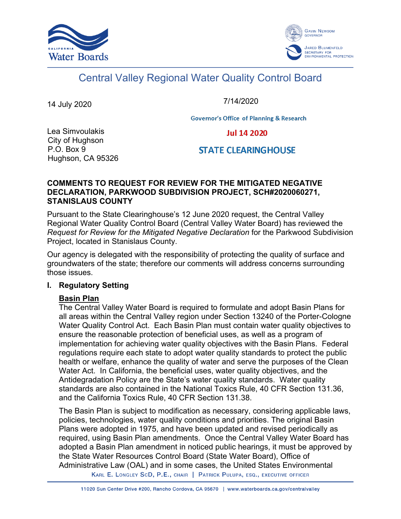



# Central Valley Regional Water Quality Control Board

14 July 2020

7/14/2020

**Governor's Office of Planning & Research** 

Lea Simvoulakis City of Hughson P.O. Box 9 Hughson, CA 95326

**Jul 14 2020** 

# **STATE CLEARINGHOUSE**

## **COMMENTS TO REQUEST FOR REVIEW FOR THE MITIGATED NEGATIVE DECLARATION, PARKWOOD SUBDIVISION PROJECT, SCH#2020060271, STANISLAUS COUNTY**

Pursuant to the State Clearinghouse's 12 June 2020 request, the Central Valley Regional Water Quality Control Board (Central Valley Water Board) has reviewed the *Request for Review for the Mitigated Negative Declaration* for the Parkwood Subdivision Project, located in Stanislaus County.

Our agency is delegated with the responsibility of protecting the quality of surface and groundwaters of the state; therefore our comments will address concerns surrounding those issues.

# **I. Regulatory Setting**

# **Basin Plan**

The Central Valley Water Board is required to formulate and adopt Basin Plans for all areas within the Central Valley region under Section 13240 of the Porter-Cologne Water Quality Control Act. Each Basin Plan must contain water quality objectives to ensure the reasonable protection of beneficial uses, as well as a program of implementation for achieving water quality objectives with the Basin Plans. Federal regulations require each state to adopt water quality standards to protect the public health or welfare, enhance the quality of water and serve the purposes of the Clean Water Act. In California, the beneficial uses, water quality objectives, and the Antidegradation Policy are the State's water quality standards. Water quality standards are also contained in the National Toxics Rule, 40 CFR Section 131.36, and the California Toxics Rule, 40 CFR Section 131.38.

The Basin Plan is subject to modification as necessary, considering applicable laws, policies, technologies, water quality conditions and priorities. The original Basin Plans were adopted in 1975, and have been updated and revised periodically as required, using Basin Plan amendments. Once the Central Valley Water Board has adopted a Basin Plan amendment in noticed public hearings, it must be approved by the State Water Resources Control Board (State Water Board), Office of Administrative Law (OAL) and in some cases, the United States Environmental

KARL E. LONGLEY SCD, P.E., CHAIR | PATRICK PULUPA, ESQ., EXECUTIVE OFFICER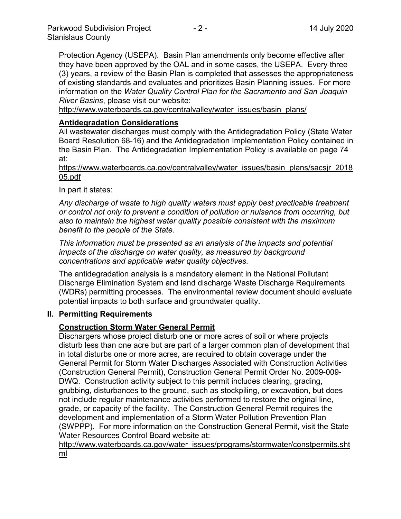Protection Agency (USEPA). Basin Plan amendments only become effective after they have been approved by the OAL and in some cases, the USEPA. Every three (3) years, a review of the Basin Plan is completed that assesses the appropriateness of existing standards and evaluates and prioritizes Basin Planning issues. For more information on the *Water Quality Control Plan for the Sacramento and San Joaquin River Basins*, please visit our website:

[http://www.waterboards.ca.gov/centralvalley/water\\_issues/basin\\_plans/](http://www.waterboards.ca.gov/centralvalley/water_issues/basin_plans/)

## **Antidegradation Considerations**

All wastewater discharges must comply with the Antidegradation Policy (State Water Board Resolution 68-16) and the Antidegradation Implementation Policy contained in the Basin Plan. The Antidegradation Implementation Policy is available on page 74 at:

https://www.waterboards.ca.gov/centralvalley/water\_issues/basin\_plans/sacsjr\_2018 05.pdf

In part it states:

*Any discharge of waste to high quality waters must apply best practicable treatment or control not only to prevent a condition of pollution or nuisance from occurring, but also to maintain the highest water quality possible consistent with the maximum benefit to the people of the State.*

*This information must be presented as an analysis of the impacts and potential impacts of the discharge on water quality, as measured by background concentrations and applicable water quality objectives.*

The antidegradation analysis is a mandatory element in the National Pollutant Discharge Elimination System and land discharge Waste Discharge Requirements (WDRs) permitting processes. The environmental review document should evaluate potential impacts to both surface and groundwater quality.

#### **II. Permitting Requirements**

# **Construction Storm Water General Permit**

Dischargers whose project disturb one or more acres of soil or where projects disturb less than one acre but are part of a larger common plan of development that in total disturbs one or more acres, are required to obtain coverage under the General Permit for Storm Water Discharges Associated with Construction Activities (Construction General Permit), Construction General Permit Order No. 2009-009- DWQ. Construction activity subject to this permit includes clearing, grading, grubbing, disturbances to the ground, such as stockpiling, or excavation, but does not include regular maintenance activities performed to restore the original line, grade, or capacity of the facility. The Construction General Permit requires the development and implementation of a Storm Water Pollution Prevention Plan (SWPPP). For more information on the Construction General Permit, visit the State Water Resources Control Board website at:

[http://www.waterboards.ca.gov/water\\_issues/programs/stormwater/constpermits.sht](http://www.waterboards.ca.gov/water_issues/programs/stormwater/constpermits.shtml) [ml](http://www.waterboards.ca.gov/water_issues/programs/stormwater/constpermits.shtml)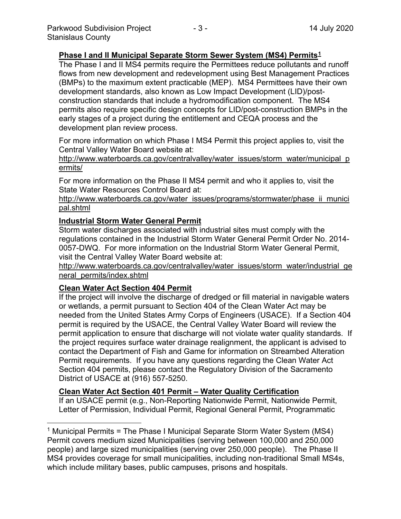## **Phase I and II Municipal Separate Storm Sewer System (MS4) Permits[1](#page-2-0)**

The Phase I and II MS4 permits require the Permittees reduce pollutants and runoff flows from new development and redevelopment using Best Management Practices (BMPs) to the maximum extent practicable (MEP). MS4 Permittees have their own development standards, also known as Low Impact Development (LID)/postconstruction standards that include a hydromodification component. The MS4 permits also require specific design concepts for LID/post-construction BMPs in the early stages of a project during the entitlement and CEQA process and the development plan review process.

For more information on which Phase I MS4 Permit this project applies to, visit the Central Valley Water Board website at:

http://www.waterboards.ca.gov/centralvalley/water\_issues/storm\_water/municipal\_p ermits/

For more information on the Phase II MS4 permit and who it applies to, visit the State Water Resources Control Board at:

http://www.waterboards.ca.gov/water\_issues/programs/stormwater/phase\_ii\_munici pal.shtml

#### **Industrial Storm Water General Permit**

Storm water discharges associated with industrial sites must comply with the regulations contained in the Industrial Storm Water General Permit Order No. 2014- 0057-DWQ. For more information on the Industrial Storm Water General Permit, visit the Central Valley Water Board website at:

http://www.waterboards.ca.gov/centralvalley/water\_issues/storm\_water/industrial\_ge neral\_permits/index.shtml

#### **Clean Water Act Section 404 Permit**

If the project will involve the discharge of dredged or fill material in navigable waters or wetlands, a permit pursuant to Section 404 of the Clean Water Act may be needed from the United States Army Corps of Engineers (USACE). If a Section 404 permit is required by the USACE, the Central Valley Water Board will review the permit application to ensure that discharge will not violate water quality standards. If the project requires surface water drainage realignment, the applicant is advised to contact the Department of Fish and Game for information on Streambed Alteration Permit requirements. If you have any questions regarding the Clean Water Act Section 404 permits, please contact the Regulatory Division of the Sacramento District of USACE at (916) 557-5250.

#### **Clean Water Act Section 401 Permit – Water Quality Certification**

If an USACE permit (e.g., Non-Reporting Nationwide Permit, Nationwide Permit, Letter of Permission, Individual Permit, Regional General Permit, Programmatic

<span id="page-2-0"></span><sup>1</sup> Municipal Permits = The Phase I Municipal Separate Storm Water System (MS4) Permit covers medium sized Municipalities (serving between 100,000 and 250,000 people) and large sized municipalities (serving over 250,000 people). The Phase II MS4 provides coverage for small municipalities, including non-traditional Small MS4s, which include military bases, public campuses, prisons and hospitals.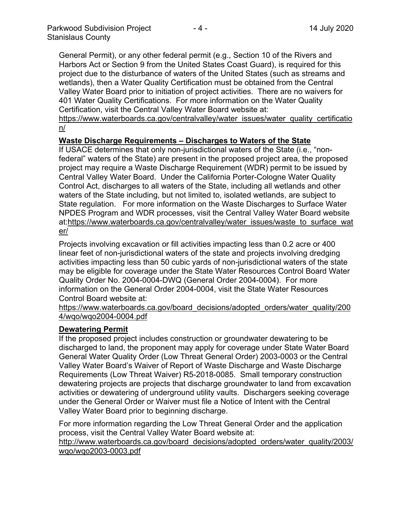General Permit), or any other federal permit (e.g., Section 10 of the Rivers and Harbors Act or Section 9 from the United States Coast Guard), is required for this project due to the disturbance of waters of the United States (such as streams and wetlands), then a Water Quality Certification must be obtained from the Central Valley Water Board prior to initiation of project activities. There are no waivers for 401 Water Quality Certifications. For more information on the Water Quality Certification, visit the Central Valley Water Board website at:

https://www.waterboards.ca.gov/centralvalley/water\_issues/water\_quality\_certificatio n/

#### **Waste Discharge Requirements – Discharges to Waters of the State**

If USACE determines that only non-jurisdictional waters of the State (i.e., "nonfederal" waters of the State) are present in the proposed project area, the proposed project may require a Waste Discharge Requirement (WDR) permit to be issued by Central Valley Water Board. Under the California Porter-Cologne Water Quality Control Act, discharges to all waters of the State, including all wetlands and other waters of the State including, but not limited to, isolated wetlands, are subject to State regulation. For more information on the Waste Discharges to Surface Water NPDES Program and WDR processes, visit the Central Valley Water Board website at:https://www.waterboards.ca.gov/centralvalley/water\_issues/waste\_to\_surface\_wat er/

Projects involving excavation or fill activities impacting less than 0.2 acre or 400 linear feet of non-jurisdictional waters of the state and projects involving dredging activities impacting less than 50 cubic yards of non-jurisdictional waters of the state may be eligible for coverage under the State Water Resources Control Board Water Quality Order No. 2004-0004-DWQ (General Order 2004-0004). For more information on the General Order 2004-0004, visit the State Water Resources Control Board website at:

https://www.waterboards.ca.gov/board\_decisions/adopted\_orders/water\_quality/200 4/wqo/wqo2004-0004.pdf

#### **Dewatering Permit**

If the proposed project includes construction or groundwater dewatering to be discharged to land, the proponent may apply for coverage under State Water Board General Water Quality Order (Low Threat General Order) 2003-0003 or the Central Valley Water Board's Waiver of Report of Waste Discharge and Waste Discharge Requirements (Low Threat Waiver) R5-2018-0085. Small temporary construction dewatering projects are projects that discharge groundwater to land from excavation activities or dewatering of underground utility vaults. Dischargers seeking coverage under the General Order or Waiver must file a Notice of Intent with the Central Valley Water Board prior to beginning discharge.

For more information regarding the Low Threat General Order and the application process, visit the Central Valley Water Board website at:

http://www.waterboards.ca.gov/board decisions/adopted orders/water quality/2003/ wqo/wqo2003-0003.pdf